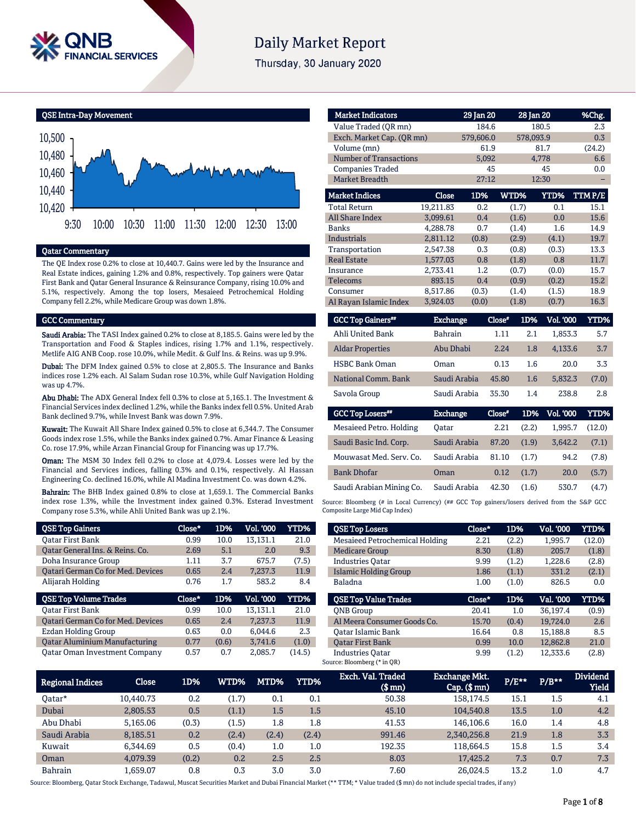

# **Daily Market Report**

Thursday, 30 January 2020

QSE Intra-Day Movement



# Qatar Commentary

The QE Index rose 0.2% to close at 10,440.7. Gains were led by the Insurance and Real Estate indices, gaining 1.2% and 0.8%, respectively. Top gainers were Qatar First Bank and Qatar General Insurance & Reinsurance Company, rising 10.0% and 5.1%, respectively. Among the top losers, Mesaieed Petrochemical Holding Company fell 2.2%, while Medicare Group was down 1.8%.

#### GCC Commentary

Saudi Arabia: The TASI Index gained 0.2% to close at 8,185.5. Gains were led by the Transportation and Food & Staples indices, rising 1.7% and 1.1%, respectively. Metlife AIG ANB Coop. rose 10.0%, while Medit. & Gulf Ins. & Reins. was up 9.9%.

Dubai: The DFM Index gained 0.5% to close at 2,805.5. The Insurance and Banks indices rose 1.2% each. Al Salam Sudan rose 10.3%, while Gulf Navigation Holding was up 4.7%.

Abu Dhabi: The ADX General Index fell 0.3% to close at 5,165.1. The Investment & Financial Services index declined 1.2%, while the Banks index fell 0.5%. United Arab Bank declined 9.7%, while Invest Bank was down 7.9%.

Kuwait: The Kuwait All Share Index gained 0.5% to close at 6,344.7. The Consumer Goods index rose 1.5%, while the Banks index gained 0.7%. Amar Finance & Leasing Co. rose 17.9%, while Arzan Financial Group for Financing was up 17.7%.

Oman: The MSM 30 Index fell 0.2% to close at 4,079.4. Losses were led by the Financial and Services indices, falling 0.3% and 0.1%, respectively. Al Hassan Engineering Co. declined 16.0%, while Al Madina Investment Co. was down 4.2%.

Bahrain: The BHB Index gained 0.8% to close at 1,659.1. The Commercial Banks index rose 1.3%, while the Investment index gained 0.3%. Esterad Investment Company rose 5.3%, while Ahli United Bank was up 2.1%.

| <b>QSE Top Gainers</b>                   | Close* | 1D%   | Vol. '000 | YTD%  |
|------------------------------------------|--------|-------|-----------|-------|
| Oatar First Bank                         | 0.99   | 10.0  | 13.131.1  | 21.0  |
| Oatar General Ins. & Reins. Co.          | 2.69   | 5.1   | 2.0       | 9.3   |
| Doha Insurance Group                     | 1.11   | 3.7   | 675.7     | (7.5) |
| <b>Qatari German Co for Med. Devices</b> | 0.65   | 7.4   | 7.237.3   | 11.9  |
| Alijarah Holding                         | 0.76   | 1.7   | 583.2     | 8.4   |
|                                          |        |       |           |       |
| <b>QSE Top Volume Trades</b>             | Close* | 1D%   | Vol. '000 | YTD%  |
| <b>Oatar First Bank</b>                  | 0.99   | 10.0  | 13.131.1  | 21.0  |
| Oatari German Co for Med. Devices        | 0.65   | 2.4   | 7.237.3   | 11.9  |
| Ezdan Holding Group                      | 0.63   | 0.0   | 6.044.6   | 2.3   |
| <b>Qatar Aluminium Manufacturing</b>     | 0.77   | (0.6) | 3.741.6   | (1.0) |

| <b>Market Indicators</b>  |                 | 29 Jan 20 |        | 28 Jan 20        | %Chg.       |
|---------------------------|-----------------|-----------|--------|------------------|-------------|
| Value Traded (QR mn)      |                 | 184.6     |        | 180.5            | 2.3         |
| Exch. Market Cap. (QR mn) |                 | 579,606.0 |        | 578,093.9        | 0.3         |
| Volume (mn)               |                 | 61.9      |        | 81.7             | (24.2)      |
| Number of Transactions    |                 | 5.092     |        | 4.778            | 6.6         |
| <b>Companies Traded</b>   |                 | 45        |        | 45               | 0.0         |
| Market Breadth            |                 | 27:12     |        | 12:30            |             |
| <b>Market Indices</b>     | Close           | 1D%       | WTD%   | YTD%             | TTMP/E      |
| <b>Total Return</b>       | 19,211.83       | 0.2       | (1.7)  | 0.1              | 15.1        |
| <b>All Share Index</b>    | 3,099.61        | 0.4       | (1.6)  | 0.0              | 15.6        |
| <b>Banks</b>              | 4,288.78        | 0.7       | (1.4)  | 1.6              | 14.9        |
| <b>Industrials</b>        | 2,811.12        | (0.8)     | (2.9)  | (4.1)            | 19.7        |
| Transportation            | 2.547.38        | 0.3       | (0.8)  | (0.3)            | 13.3        |
| <b>Real Estate</b>        | 1,577.03        | 0.8       | (1.8)  | 0.8              | 11.7        |
| Insurance                 | 2.733.41        | 1.2       | (0.7)  | (0.0)            | 15.7        |
| Telecoms                  | 893.15          | 0.4       | (0.9)  | (0.2)            | 15.2        |
| Consumer                  | 8,517.86        | (0.3)     | (1.4)  | (1.5)            | 18.9        |
| Al Rayan Islamic Index    | 3,924.03        | (0.0)     | (1.8)  | (0.7)            | 16.3        |
| <b>GCC Top Gainers**</b>  | <b>Exchange</b> |           | Close* | Vol. '000<br>1D% | <b>YTD%</b> |
| Ahli United Bank          | <b>Bahrain</b>  |           | 1.11   | 2.1<br>1,853.3   | 5.7         |
| <b>Aldar Properties</b>   | Abu Dhabi       |           | 2.24   | 4,133.6<br>1.8   | 3.7         |
| <b>HSBC Bank Oman</b>     | Oman            |           | 0.13   | 1.6              | 3.3<br>20.0 |
| National Comm. Bank       | Saudi Arabia    |           | 45.80  | 1.6<br>5,832.3   | (7.0)       |

| Savola Group<br>Saudi Arabia |                 | 35.30  | 1.4   | 238.8     | 2.8    |
|------------------------------|-----------------|--------|-------|-----------|--------|
| <b>GCC Top Losers</b> "      | <b>Exchange</b> | Close" | 1D%   | Vol. '000 | YTD%   |
| Mesaieed Petro. Holding      | Oatar           | 2.21   | (2.2) | 1.995.7   | (12.0) |
| Saudi Basic Ind. Corp.       | Saudi Arabia    | 87.20  | (1.9) | 3.642.2   | (7.1)  |
| Mouwasat Med. Serv. Co.      | Saudi Arabia    | 81.10  | (1.7) | 94.2      | (7.8)  |
| <b>Bank Dhofar</b>           | Oman            | 0.12   | (1.7) | 20.0      | (5.7)  |
| Saudi Arabian Mining Co.     | Saudi Arabia    | 42.30  | (1.6) | 530.7     | (4.7)  |

Source: Bloomberg (# in Local Currency) (## GCC Top gainers/losers derived from the S&P GCC Composite Large Mid Cap Index)

| <b>QSE Top Losers</b>          | Close* | 1D%   | <b>Vol. '000</b> | YTD%   |
|--------------------------------|--------|-------|------------------|--------|
| Mesaieed Petrochemical Holding | 2.21   | (2.2) | 1,995.7          | (12.0) |
| <b>Medicare Group</b>          | 8.30   | (1.8) | 205.7            | (1.8)  |
| <b>Industries Oatar</b>        | 9.99   | (1.2) | 1,228.6          | (2.8)  |
| Islamic Holding Group          | 1.86   | (1.1) | 331.2            | (2.1)  |
| <b>Baladna</b>                 | 1.00   | (1.0) | 826.5            | 0.0    |
|                                |        |       |                  |        |
| <b>OSE Top Value Trades</b>    | Close* | 1D%   | Val. '000        | YTD%   |
| <b>ONB</b> Group               | 20.41  | 1.0   | 36.197.4         | (0.9)  |
| Al Meera Consumer Goods Co.    | 15.70  | (0.4) | 19.724.0         | 2.6    |
| Oatar Islamic Bank             | 16.64  | 0.8   | 15.188.8         | 8.5    |
| <b>Oatar First Bank</b>        | 0.99   | 10.0  | 12.862.8         | 21.0   |

| <b>Regional Indices</b> | Close     | 1D%   | <b>WTD%</b> | MTD%    | YTD%    | Exch. Val. Traded<br>$$$ mm $)$ | <b>Exchange Mkt.</b><br>$Cap.$ $(\$$ mn) | $P/E***$ | $P/B***$ | <b>Dividend</b><br><b>Yield</b> |
|-------------------------|-----------|-------|-------------|---------|---------|---------------------------------|------------------------------------------|----------|----------|---------------------------------|
| Oatar*                  | 10.440.73 | 0.2   | (1.7)       | 0.1     | 0.1     | 50.38                           | 158,174.5                                | 15.1     | $1.5\,$  | 4.1                             |
| Dubai                   | 2,805.53  | 0.5   | (1.1)       | 1.5     | 1.5     | 45.10                           | 104.540.8                                | 13.5     | 1.0      | 4.2                             |
| Abu Dhabi               | 5.165.06  | (0.3) | (1.5)       | $1.8\,$ | $1.8\,$ | 41.53                           | 146.106.6                                | 16.0     | 1.4      | 4.8                             |
| Saudi Arabia            | 8,185.51  | 0.2   | (2.4)       | (2.4)   | (2.4)   | 991.46                          | 2,340,256.8                              | 21.9     | 1.8      | 3.3                             |
| Kuwait                  | 6.344.69  | 0.5   | (0.4)       | $1.0\,$ | $1.0\,$ | 192.35                          | 118.664.5                                | 15.8     | 1.5      | 3.4                             |
| Oman                    | 4.079.39  | (0.2) | 0.2         | 2.5     | 2.5     | 8.03                            | 17.425.2                                 | 7.3      | 0.7      | 7.3                             |
| <b>Bahrain</b>          | 1.659.07  | 0.8   | 0.3         | 3.0     | 3.0     | 7.60                            | 26.024.5                                 | 13.2     | $1.0\,$  | 4.7                             |

Source: Bloomberg, Qatar Stock Exchange, Tadawul, Muscat Securities Market and Dubai Financial Market (\*\* TTM; \* Value traded (\$ mn) do not include special trades, if any)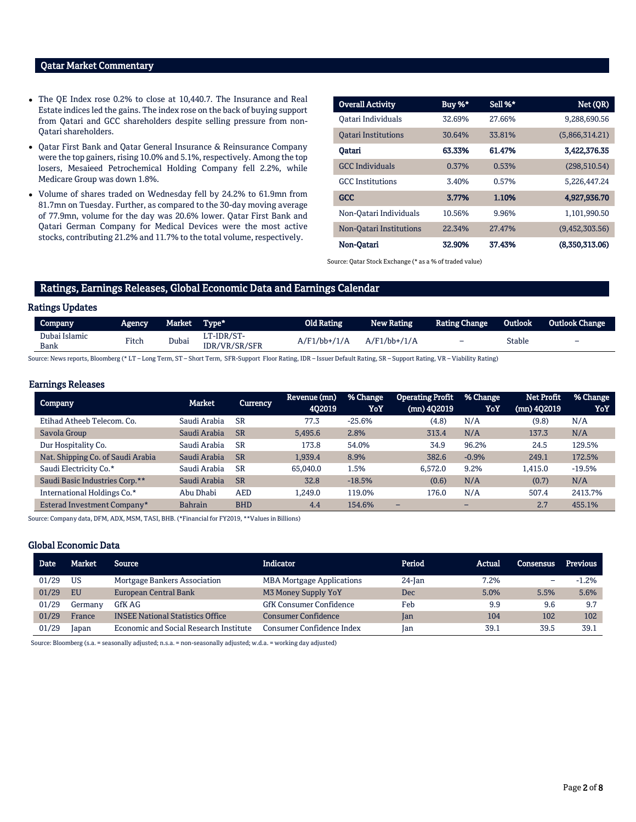# Qatar Market Commentary

- The QE Index rose 0.2% to close at 10,440.7. The Insurance and Real Estate indices led the gains. The index rose on the back of buying support from Qatari and GCC shareholders despite selling pressure from non-Qatari shareholders.
- Qatar First Bank and Qatar General Insurance & Reinsurance Company were the top gainers, rising 10.0% and 5.1%, respectively. Among the top losers, Mesaieed Petrochemical Holding Company fell 2.2%, while Medicare Group was down 1.8%.
- Volume of shares traded on Wednesday fell by 24.2% to 61.9mn from 81.7mn on Tuesday. Further, as compared to the 30-day moving average of 77.9mn, volume for the day was 20.6% lower. Qatar First Bank and Qatari German Company for Medical Devices were the most active stocks, contributing 21.2% and 11.7% to the total volume, respectively.

| <b>Overall Activity</b>    | Buy %* | Sell %* | Net (QR)       |
|----------------------------|--------|---------|----------------|
| Oatari Individuals         | 32.69% | 27.66%  | 9,288,690.56   |
| <b>Oatari Institutions</b> | 30.64% | 33.81%  | (5,866,314.21) |
| Oatari                     | 63.33% | 61.47%  | 3,422,376.35   |
| <b>GCC</b> Individuals     | 0.37%  | 0.53%   | (298, 510.54)  |
| <b>GCC</b> Institutions    | 3.40%  | 0.57%   | 5.226.447.24   |
| <b>GCC</b>                 | 3.77%  | 1.10%   | 4,927,936.70   |
| Non-Qatari Individuals     | 10.56% | 9.96%   | 1,101,990.50   |
| Non-Oatari Institutions    | 22.34% | 27.47%  | (9,452,303.56) |
| Non-Oatari                 | 32.90% | 37.43%  | (8,350,313,06) |

Source: Qatar Stock Exchange (\* as a % of traded value)

# Ratings, Earnings Releases, Global Economic Data and Earnings Calendar

# Ratings Updates

| Company               | Agencv | Market | Type*                       | Old Rating      | <b>New Rating</b> | <b>Rating Change</b>     | Outlook | <b>Outlook Change</b>    |
|-----------------------|--------|--------|-----------------------------|-----------------|-------------------|--------------------------|---------|--------------------------|
| Dubai Islamic<br>Bank | Fitch  | Dubai  | LT-IDR/ST-<br>IDR/VR/SR/SFR | $A/F1/bb+1/1/A$ | $A/F1/bb+1/1/A$   | $\overline{\phantom{0}}$ | Stable  | $\overline{\phantom{0}}$ |

Source: News reports, Bloomberg (\* LT – Long Term, ST – Short Term, SFR-Support Floor Rating, IDR – Issuer Default Rating, SR – Support Rating, VR – Viability Rating)

# Earnings Releases

| <b>Company</b>                    | Market         | <b>Currency</b> | Revenue (mn)<br>402019 | % Change<br>YoY | <b>Operating Profit</b><br>$(mn)$ 402019 | % Change<br>YoY          | Net Profit<br>(mn) 4Q2019 | % Change<br>YoY |
|-----------------------------------|----------------|-----------------|------------------------|-----------------|------------------------------------------|--------------------------|---------------------------|-----------------|
| Etihad Atheeb Telecom, Co.        | Saudi Arabia   | <b>SR</b>       | 77.3                   | $-25.6%$        | (4.8)                                    | N/A                      | (9.8)                     | N/A             |
| Savola Group                      | Saudi Arabia   | <b>SR</b>       | 5,495.6                | 2.8%            | 313.4                                    | N/A                      | 137.3                     | N/A             |
| Dur Hospitality Co.               | Saudi Arabia   | <b>SR</b>       | 173.8                  | 54.0%           | 34.9                                     | 96.2%                    | 24.5                      | 129.5%          |
| Nat. Shipping Co. of Saudi Arabia | Saudi Arabia   | <b>SR</b>       | 1.939.4                | 8.9%            | 382.6                                    | $-0.9%$                  | 249.1                     | 172.5%          |
| Saudi Electricity Co.*            | Saudi Arabia   | <b>SR</b>       | 65,040.0               | 1.5%            | 6.572.0                                  | 9.2%                     | 1.415.0                   | $-19.5%$        |
| Saudi Basic Industries Corp.**    | Saudi Arabia   | <b>SR</b>       | 32.8                   | $-18.5%$        | (0.6)                                    | N/A                      | (0.7)                     | N/A             |
| International Holdings Co.*       | Abu Dhabi      | <b>AED</b>      | 1.249.0                | 119.0%          | 176.0                                    | N/A                      | 507.4                     | 2413.7%         |
| Esterad Investment Company*       | <b>Bahrain</b> | <b>BHD</b>      | 4.4                    | 154.6%          | -                                        | $\overline{\phantom{0}}$ | 2.7                       | 455.1%          |

Source: Company data, DFM, ADX, MSM, TASI, BHB. (\*Financial for FY2019, \*\*Values in Billions)

#### Global Economic Data

| <b>Date</b> | Market  | <b>Source</b>                           | Indicator                        | Period    | Actual | Consensus | Previous |
|-------------|---------|-----------------------------------------|----------------------------------|-----------|--------|-----------|----------|
| 01/29       | US      | Mortgage Bankers Association            | <b>MBA Mortgage Applications</b> | $24$ -Jan | 7.2%   | -         | $-1.2%$  |
| 01/29       | EU      | European Central Bank                   | M3 Money Supply YoY              | Dec       | 5.0%   | 5.5%      | 5.6%     |
| 01/29       | Germanv | GfK AG                                  | GfK Consumer Confidence          | Feb       | 9.9    | 9.6       | 9.7      |
| 01/29       | France  | <b>INSEE National Statistics Office</b> | <b>Consumer Confidence</b>       | Ian       | 104    | 102       | 102      |
| 01/29       | Japan   | Economic and Social Research Institute  | Consumer Confidence Index        | Ian       | 39.1   | 39.5      | 39.1     |

Source: Bloomberg (s.a. = seasonally adjusted; n.s.a. = non-seasonally adjusted; w.d.a. = working day adjusted)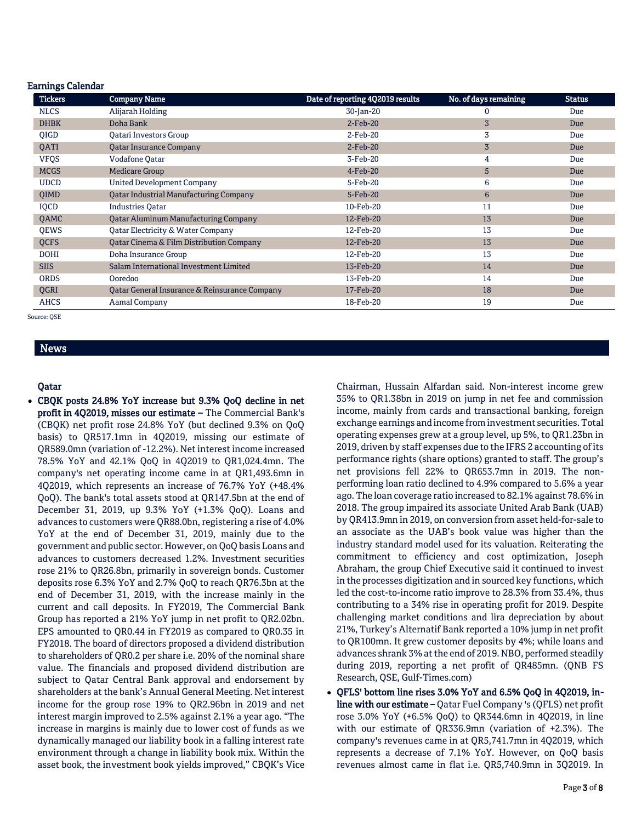| <b>Tickers</b> | <b>Company Name</b>                           | Date of reporting 4Q2019 results | No. of days remaining | <b>Status</b> |
|----------------|-----------------------------------------------|----------------------------------|-----------------------|---------------|
| <b>NLCS</b>    | Alijarah Holding                              | 30-Jan-20                        | 0                     | Due           |
| <b>DHBK</b>    | Doha Bank                                     | $2-Feb-20$                       | 3                     | Due           |
| QIGD           | Qatari Investors Group                        | $2$ -Feb-20                      | 3                     | Due           |
| QATI           | <b>Qatar Insurance Company</b>                | $2-Feb-20$                       | $\overline{3}$        | Due           |
| <b>VFQS</b>    | Vodafone Oatar                                | 3-Feb-20                         | 4                     | Due           |
| <b>MCGS</b>    | <b>Medicare Group</b>                         | $4$ -Feb-20                      | 5                     | Due           |
| <b>UDCD</b>    | <b>United Development Company</b>             | 5-Feb-20                         | 6                     | Due           |
| <b>OIMD</b>    | <b>Oatar Industrial Manufacturing Company</b> | 5-Feb-20                         | 6                     | Due           |
| IQCD           | <b>Industries Oatar</b>                       | 10-Feb-20                        | 11                    | Due           |
| <b>OAMC</b>    | <b>Qatar Aluminum Manufacturing Company</b>   | 12-Feb-20                        | 13                    | Due           |
| <b>OEWS</b>    | Oatar Electricity & Water Company             | 12-Feb-20                        | 13                    | Due           |
| <b>QCFS</b>    | Qatar Cinema & Film Distribution Company      | 12-Feb-20                        | 13                    | Due           |
| <b>DOHI</b>    | Doha Insurance Group                          | 12-Feb-20                        | 13                    | Due           |
| <b>SIIS</b>    | Salam International Investment Limited        | 13-Feb-20                        | 14                    | Due           |
| <b>ORDS</b>    | Ooredoo                                       | 13-Feb-20                        | 14                    | Due           |
| QGRI           | Oatar General Insurance & Reinsurance Company | 17-Feb-20                        | 18                    | Due           |
| <b>AHCS</b>    | Aamal Company                                 | 18-Feb-20                        | 19                    | Due           |

Source: QSE

# News

Earnings Calendar

### Qatar

 CBQK posts 24.8% YoY increase but 9.3% QoQ decline in net profit in 4Q2019, misses our estimate – The Commercial Bank's (CBQK) net profit rose 24.8% YoY (but declined 9.3% on QoQ basis) to QR517.1mn in 4Q2019, missing our estimate of QR589.0mn (variation of -12.2%). Net interest income increased 78.5% YoY and 42.1% QoQ in 4Q2019 to QR1,024.4mn. The company's net operating income came in at QR1,493.6mn in 4Q2019, which represents an increase of 76.7% YoY (+48.4% QoQ). The bank's total assets stood at QR147.5bn at the end of December 31, 2019, up 9.3% YoY (+1.3% QoQ). Loans and advances to customers were QR88.0bn, registering a rise of 4.0% YoY at the end of December 31, 2019, mainly due to the government and public sector. However, on QoQ basis Loans and advances to customers decreased 1.2%. Investment securities rose 21% to QR26.8bn, primarily in sovereign bonds. Customer deposits rose 6.3% YoY and 2.7% QoQ to reach QR76.3bn at the end of December 31, 2019, with the increase mainly in the current and call deposits. In FY2019, The Commercial Bank Group has reported a 21% YoY jump in net profit to QR2.02bn. EPS amounted to QR0.44 in FY2019 as compared to QR0.35 in FY2018. The board of directors proposed a dividend distribution to shareholders of QR0.2 per share i.e. 20% of the nominal share value. The financials and proposed dividend distribution are subject to Qatar Central Bank approval and endorsement by shareholders at the bank's Annual General Meeting. Net interest income for the group rose 19% to QR2.96bn in 2019 and net interest margin improved to 2.5% against 2.1% a year ago. "The increase in margins is mainly due to lower cost of funds as we dynamically managed our liability book in a falling interest rate environment through a change in liability book mix. Within the asset book, the investment book yields improved," CBQK's Vice

Chairman, Hussain Alfardan said. Non-interest income grew 35% to QR1.38bn in 2019 on jump in net fee and commission income, mainly from cards and transactional banking, foreign exchange earnings and income from investment securities. Total operating expenses grew at a group level, up 5%, to QR1.23bn in 2019, driven by staff expenses due to the IFRS 2 accounting of its performance rights (share options) granted to staff. The group's net provisions fell 22% to QR653.7mn in 2019. The nonperforming loan ratio declined to 4.9% compared to 5.6% a year ago. The loan coverage ratio increased to 82.1% against 78.6% in 2018. The group impaired its associate United Arab Bank (UAB) by QR413.9mn in 2019, on conversion from asset held-for-sale to an associate as the UAB's book value was higher than the industry standard model used for its valuation. Reiterating the commitment to efficiency and cost optimization, Joseph Abraham, the group Chief Executive said it continued to invest in the processes digitization and in sourced key functions, which led the cost-to-income ratio improve to 28.3% from 33.4%, thus contributing to a 34% rise in operating profit for 2019. Despite challenging market conditions and lira depreciation by about 21%, Turkey's Alternatif Bank reported a 10% jump in net profit to QR100mn. It grew customer deposits by 4%; while loans and advances shrank 3% at the end of 2019. NBO, performed steadily during 2019, reporting a net profit of QR485mn. (QNB FS Research, QSE, Gulf-Times.com)

 QFLS' bottom line rises 3.0% YoY and 6.5% QoQ in 4Q2019, inline with our estimate – Qatar Fuel Company 's (QFLS) net profit rose 3.0% YoY (+6.5% QoQ) to QR344.6mn in 4Q2019, in line with our estimate of QR336.9mn (variation of +2.3%). The company's revenues came in at QR5,741.7mn in 4Q2019, which represents a decrease of 7.1% YoY. However, on QoQ basis revenues almost came in flat i.e. QR5,740.9mn in 3Q2019. In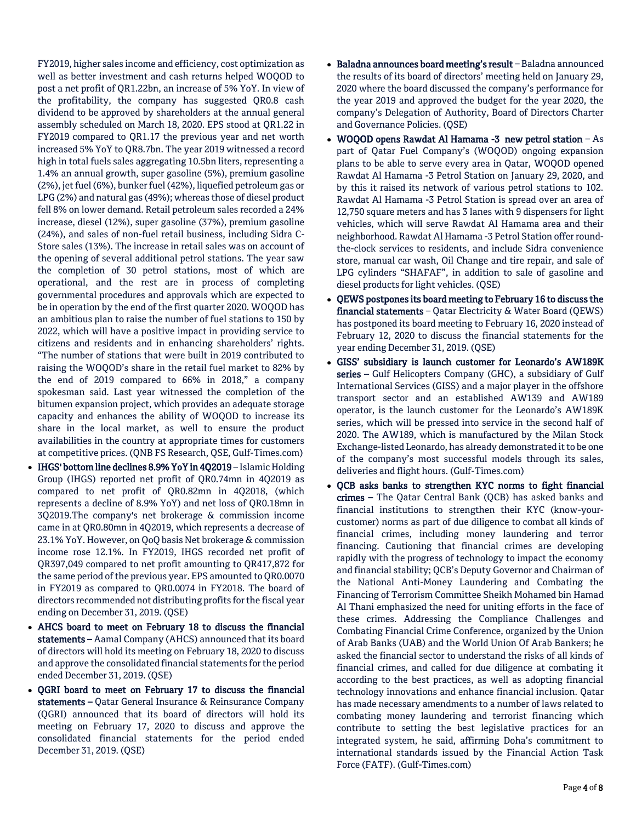- FY2019, higher sales income and efficiency, cost optimization as well as better investment and cash returns helped WOQOD to post a net profit of QR1.22bn, an increase of 5% YoY. In view of the profitability, the company has suggested QR0.8 cash dividend to be approved by shareholders at the annual general assembly scheduled on March 18, 2020. EPS stood at QR1.22 in FY2019 compared to QR1.17 the previous year and net worth increased 5% YoY to QR8.7bn. The year 2019 witnessed a record high in total fuels sales aggregating 10.5bn liters, representing a 1.4% an annual growth, super gasoline (5%), premium gasoline (2%), jet fuel (6%), bunker fuel (42%), liquefied petroleum gas or LPG (2%) and natural gas (49%); whereas those of diesel product fell 8% on lower demand. Retail petroleum sales recorded a 24% increase, diesel (12%), super gasoline (37%), premium gasoline (24%), and sales of non-fuel retail business, including Sidra C-Store sales (13%). The increase in retail sales was on account of the opening of several additional petrol stations. The year saw the completion of 30 petrol stations, most of which are operational, and the rest are in process of completing governmental procedures and approvals which are expected to be in operation by the end of the first quarter 2020. WOQOD has an ambitious plan to raise the number of fuel stations to 150 by 2022, which will have a positive impact in providing service to citizens and residents and in enhancing shareholders' rights. "The number of stations that were built in 2019 contributed to raising the WOQOD's share in the retail fuel market to 82% by the end of 2019 compared to 66% in 2018," a company spokesman said. Last year witnessed the completion of the bitumen expansion project, which provides an adequate storage capacity and enhances the ability of WOQOD to increase its share in the local market, as well to ensure the product availabilities in the country at appropriate times for customers at competitive prices. (QNB FS Research, QSE, Gulf-Times.com)
- IHGS' bottom line declines 8.9% YoY in 4Q2019 Islamic Holding Group (IHGS) reported net profit of QR0.74mn in 4Q2019 as compared to net profit of QR0.82mn in 4Q2018, (which represents a decline of 8.9% YoY) and net loss of QR0.18mn in 3Q2019.The company's net brokerage & commission income came in at QR0.80mn in 4Q2019, which represents a decrease of 23.1% YoY. However, on QoQ basis Net brokerage & commission income rose 12.1%. In FY2019, IHGS recorded net profit of QR397,049 compared to net profit amounting to QR417,872 for the same period of the previous year. EPS amounted to QR0.0070 in FY2019 as compared to QR0.0074 in FY2018. The board of directors recommended not distributing profits for the fiscal year ending on December 31, 2019. (QSE)
- AHCS board to meet on February 18 to discuss the financial statements – Aamal Company (AHCS) announced that its board of directors will hold its meeting on February 18, 2020 to discuss and approve the consolidated financial statements for the period ended December 31, 2019. (QSE)
- QGRI board to meet on February 17 to discuss the financial statements – Qatar General Insurance & Reinsurance Company (QGRI) announced that its board of directors will hold its meeting on February 17, 2020 to discuss and approve the consolidated financial statements for the period ended December 31, 2019. (QSE)
- Baladna announces board meeting's result Baladna announced the results of its board of directors' meeting held on January 29, 2020 where the board discussed the company's performance for the year 2019 and approved the budget for the year 2020, the company's Delegation of Authority, Board of Directors Charter and Governance Policies. (QSE)
- WOQOD opens Rawdat Al Hamama -3 new petrol station As part of Qatar Fuel Company's (WOQOD) ongoing expansion plans to be able to serve every area in Qatar, WOQOD opened Rawdat Al Hamama -3 Petrol Station on January 29, 2020, and by this it raised its network of various petrol stations to 102. Rawdat Al Hamama -3 Petrol Station is spread over an area of 12,750 square meters and has 3 lanes with 9 dispensers for light vehicles, which will serve Rawdat Al Hamama area and their neighborhood. Rawdat Al Hamama -3 Petrol Station offer roundthe-clock services to residents, and include Sidra convenience store, manual car wash, Oil Change and tire repair, and sale of LPG cylinders "SHAFAF", in addition to sale of gasoline and diesel products for light vehicles. (QSE)
- QEWS postpones its board meeting to February 16 to discuss the financial statements - Qatar Electricity & Water Board (QEWS) has postponed its board meeting to February 16, 2020 instead of February 12, 2020 to discuss the financial statements for the year ending December 31, 2019. (QSE)
- GISS' subsidiary is launch customer for Leonardo's AW189K series – Gulf Helicopters Company (GHC), a subsidiary of Gulf International Services (GISS) and a major player in the offshore transport sector and an established AW139 and AW189 operator, is the launch customer for the Leonardo's AW189K series, which will be pressed into service in the second half of 2020. The AW189, which is manufactured by the Milan Stock Exchange-listed Leonardo, has already demonstrated it to be one of the company's most successful models through its sales, deliveries and flight hours. (Gulf-Times.com)
- QCB asks banks to strengthen KYC norms to fight financial crimes – The Qatar Central Bank (QCB) has asked banks and financial institutions to strengthen their KYC (know-yourcustomer) norms as part of due diligence to combat all kinds of financial crimes, including money laundering and terror financing. Cautioning that financial crimes are developing rapidly with the progress of technology to impact the economy and financial stability; QCB's Deputy Governor and Chairman of the National Anti-Money Laundering and Combating the Financing of Terrorism Committee Sheikh Mohamed bin Hamad Al Thani emphasized the need for uniting efforts in the face of these crimes. Addressing the Compliance Challenges and Combating Financial Crime Conference, organized by the Union of Arab Banks (UAB) and the World Union Of Arab Bankers; he asked the financial sector to understand the risks of all kinds of financial crimes, and called for due diligence at combating it according to the best practices, as well as adopting financial technology innovations and enhance financial inclusion. Qatar has made necessary amendments to a number of laws related to combating money laundering and terrorist financing which contribute to setting the best legislative practices for an integrated system, he said, affirming Doha's commitment to international standards issued by the Financial Action Task Force (FATF). (Gulf-Times.com)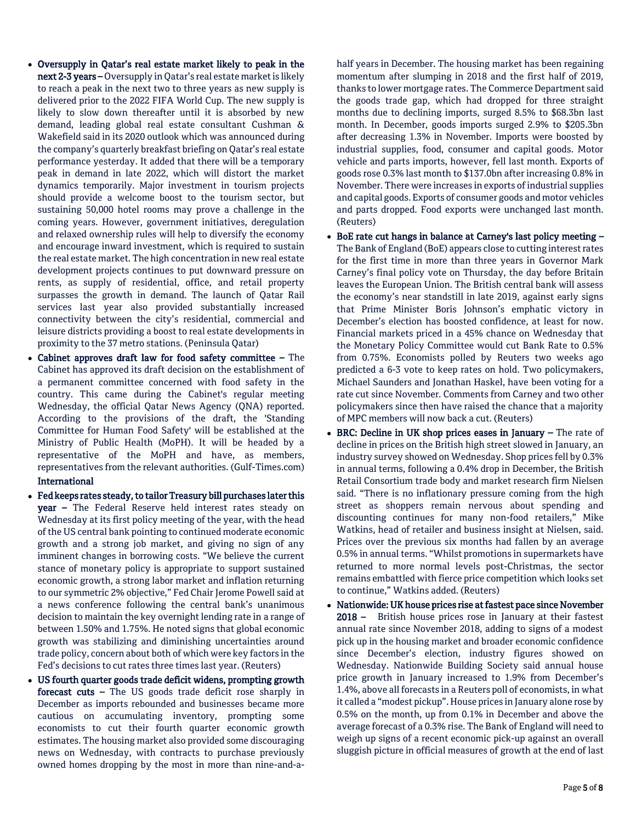- Oversupply in Qatar's real estate market likely to peak in the next 2-3 years – Oversupply in Qatar's real estate market is likely to reach a peak in the next two to three years as new supply is delivered prior to the 2022 FIFA World Cup. The new supply is likely to slow down thereafter until it is absorbed by new demand, leading global real estate consultant Cushman & Wakefield said in its 2020 outlook which was announced during the company's quarterly breakfast briefing on Qatar's real estate performance yesterday. It added that there will be a temporary peak in demand in late 2022, which will distort the market dynamics temporarily. Major investment in tourism projects should provide a welcome boost to the tourism sector, but sustaining 50,000 hotel rooms may prove a challenge in the coming years. However, government initiatives, deregulation and relaxed ownership rules will help to diversify the economy and encourage inward investment, which is required to sustain the real estate market. The high concentration in new real estate development projects continues to put downward pressure on rents, as supply of residential, office, and retail property surpasses the growth in demand. The launch of Qatar Rail services last year also provided substantially increased connectivity between the city's residential, commercial and leisure districts providing a boost to real estate developments in proximity to the 37 metro stations. (Peninsula Qatar)
- Cabinet approves draft law for food safety committee The Cabinet has approved its draft decision on the establishment of a permanent committee concerned with food safety in the country. This came during the Cabinet's regular meeting Wednesday, the official Qatar News Agency (QNA) reported. According to the provisions of the draft, the 'Standing Committee for Human Food Safety' will be established at the Ministry of Public Health (MoPH). It will be headed by a representative of the MoPH and have, as members, representatives from the relevant authorities. (Gulf-Times.com) International
- Fed keeps rates steady, to tailor Treasury bill purchases later this year – The Federal Reserve held interest rates steady on Wednesday at its first policy meeting of the year, with the head of the US central bank pointing to continued moderate economic growth and a strong job market, and giving no sign of any imminent changes in borrowing costs. "We believe the current stance of monetary policy is appropriate to support sustained economic growth, a strong labor market and inflation returning to our symmetric 2% objective," Fed Chair Jerome Powell said at a news conference following the central bank's unanimous decision to maintain the key overnight lending rate in a range of between 1.50% and 1.75%. He noted signs that global economic growth was stabilizing and diminishing uncertainties around trade policy, concern about both of which were key factors in the Fed's decisions to cut rates three times last year. (Reuters)
- US fourth quarter goods trade deficit widens, prompting growth forecast cuts – The US goods trade deficit rose sharply in December as imports rebounded and businesses became more cautious on accumulating inventory, prompting some economists to cut their fourth quarter economic growth estimates. The housing market also provided some discouraging news on Wednesday, with contracts to purchase previously owned homes dropping by the most in more than nine-and-a-

half years in December. The housing market has been regaining momentum after slumping in 2018 and the first half of 2019, thanks to lower mortgage rates. The Commerce Department said the goods trade gap, which had dropped for three straight months due to declining imports, surged 8.5% to \$68.3bn last month. In December, goods imports surged 2.9% to \$205.3bn after decreasing 1.3% in November. Imports were boosted by industrial supplies, food, consumer and capital goods. Motor vehicle and parts imports, however, fell last month. Exports of goods rose 0.3% last month to \$137.0bn after increasing 0.8% in November. There were increases in exports of industrial supplies and capital goods. Exports of consumer goods and motor vehicles and parts dropped. Food exports were unchanged last month. (Reuters)

- BoE rate cut hangs in balance at Carney's last policy meeting The Bank of England (BoE) appears close to cutting interest rates for the first time in more than three years in Governor Mark Carney's final policy vote on Thursday, the day before Britain leaves the European Union. The British central bank will assess the economy's near standstill in late 2019, against early signs that Prime Minister Boris Johnson's emphatic victory in December's election has boosted confidence, at least for now. Financial markets priced in a 45% chance on Wednesday that the Monetary Policy Committee would cut Bank Rate to 0.5% from 0.75%. Economists polled by Reuters two weeks ago predicted a 6-3 vote to keep rates on hold. Two policymakers, Michael Saunders and Jonathan Haskel, have been voting for a rate cut since November. Comments from Carney and two other policymakers since then have raised the chance that a majority of MPC members will now back a cut. (Reuters)
- BRC: Decline in UK shop prices eases in January The rate of decline in prices on the British high street slowed in January, an industry survey showed on Wednesday. Shop prices fell by 0.3% in annual terms, following a 0.4% drop in December, the British Retail Consortium trade body and market research firm Nielsen said. "There is no inflationary pressure coming from the high street as shoppers remain nervous about spending and discounting continues for many non-food retailers," Mike Watkins, head of retailer and business insight at Nielsen, said. Prices over the previous six months had fallen by an average 0.5% in annual terms. "Whilst promotions in supermarkets have returned to more normal levels post-Christmas, the sector remains embattled with fierce price competition which looks set to continue," Watkins added. (Reuters)
- Nationwide: UK house prices rise at fastest pace since November 2018 – British house prices rose in January at their fastest annual rate since November 2018, adding to signs of a modest pick up in the housing market and broader economic confidence since December's election, industry figures showed on Wednesday. Nationwide Building Society said annual house price growth in January increased to 1.9% from December's 1.4%, above all forecasts in a Reuters poll of economists, in what it called a "modest pickup". House prices in January alone rose by 0.5% on the month, up from 0.1% in December and above the average forecast of a 0.3% rise. The Bank of England will need to weigh up signs of a recent economic pick-up against an overall sluggish picture in official measures of growth at the end of last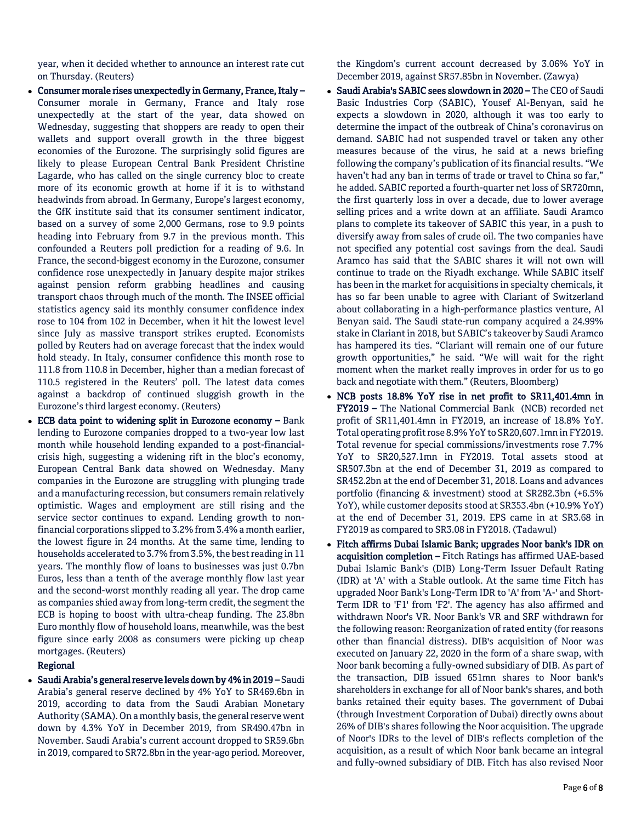year, when it decided whether to announce an interest rate cut on Thursday. (Reuters)

- Consumer morale rises unexpectedly in Germany, France, Italy Consumer morale in Germany, France and Italy rose unexpectedly at the start of the year, data showed on Wednesday, suggesting that shoppers are ready to open their wallets and support overall growth in the three biggest economies of the Eurozone. The surprisingly solid figures are likely to please European Central Bank President Christine Lagarde, who has called on the single currency bloc to create more of its economic growth at home if it is to withstand headwinds from abroad. In Germany, Europe's largest economy, the GfK institute said that its consumer sentiment indicator, based on a survey of some 2,000 Germans, rose to 9.9 points heading into February from 9.7 in the previous month. This confounded a Reuters poll prediction for a reading of 9.6. In France, the second-biggest economy in the Eurozone, consumer confidence rose unexpectedly in January despite major strikes against pension reform grabbing headlines and causing transport chaos through much of the month. The INSEE official statistics agency said its monthly consumer confidence index rose to 104 from 102 in December, when it hit the lowest level since July as massive transport strikes erupted. Economists polled by Reuters had on average forecast that the index would hold steady. In Italy, consumer confidence this month rose to 111.8 from 110.8 in December, higher than a median forecast of 110.5 registered in the Reuters' poll. The latest data comes against a backdrop of continued sluggish growth in the Eurozone's third largest economy. (Reuters)
- ECB data point to widening split in Eurozone economy Bank lending to Eurozone companies dropped to a two-year low last month while household lending expanded to a post-financialcrisis high, suggesting a widening rift in the bloc's economy, European Central Bank data showed on Wednesday. Many companies in the Eurozone are struggling with plunging trade and a manufacturing recession, but consumers remain relatively optimistic. Wages and employment are still rising and the service sector continues to expand. Lending growth to nonfinancial corporations slipped to 3.2% from 3.4% a month earlier, the lowest figure in 24 months. At the same time, lending to households accelerated to 3.7% from 3.5%, the best reading in 11 years. The monthly flow of loans to businesses was just 0.7bn Euros, less than a tenth of the average monthly flow last year and the second-worst monthly reading all year. The drop came as companies shied away from long-term credit, the segment the ECB is hoping to boost with ultra-cheap funding. The 23.8bn Euro monthly flow of household loans, meanwhile, was the best figure since early 2008 as consumers were picking up cheap mortgages. (Reuters)

# Regional

 Saudi Arabia's general reserve levels down by 4% in 2019 – Saudi Arabia's general reserve declined by 4% YoY to SR469.6bn in 2019, according to data from the Saudi Arabian Monetary Authority (SAMA). On a monthly basis, the general reserve went down by 4.3% YoY in December 2019, from SR490.47bn in November. Saudi Arabia's current account dropped to SR59.6bn in 2019, compared to SR72.8bn in the year-ago period. Moreover,

the Kingdom's current account decreased by 3.06% YoY in December 2019, against SR57.85bn in November. (Zawya)

- Saudi Arabia's SABIC sees slowdown in 2020 The CEO of Saudi Basic Industries Corp (SABIC), Yousef Al-Benyan, said he expects a slowdown in 2020, although it was too early to determine the impact of the outbreak of China's coronavirus on demand. SABIC had not suspended travel or taken any other measures because of the virus, he said at a news briefing following the company's publication of its financial results. "We haven't had any ban in terms of trade or travel to China so far," he added. SABIC reported a fourth-quarter net loss of SR720mn, the first quarterly loss in over a decade, due to lower average selling prices and a write down at an affiliate. Saudi Aramco plans to complete its takeover of SABIC this year, in a push to diversify away from sales of crude oil. The two companies have not specified any potential cost savings from the deal. Saudi Aramco has said that the SABIC shares it will not own will continue to trade on the Riyadh exchange. While SABIC itself has been in the market for acquisitions in specialty chemicals, it has so far been unable to agree with Clariant of Switzerland about collaborating in a high-performance plastics venture, Al Benyan said. The Saudi state-run company acquired a 24.99% stake in Clariant in 2018, but SABIC's takeover by Saudi Aramco has hampered its ties. "Clariant will remain one of our future growth opportunities," he said. "We will wait for the right moment when the market really improves in order for us to go back and negotiate with them." (Reuters, Bloomberg)
- NCB posts 18.8% YoY rise in net profit to SR11,401.4mn in FY2019 – The National Commercial Bank (NCB) recorded net profit of SR11,401.4mn in FY2019, an increase of 18.8% YoY. Total operating profit rose 8.9% YoY to SR20,607.1mn in FY2019. Total revenue for special commissions/investments rose 7.7% YoY to SR20,527.1mn in FY2019. Total assets stood at SR507.3bn at the end of December 31, 2019 as compared to SR452.2bn at the end of December 31, 2018. Loans and advances portfolio (financing & investment) stood at SR282.3bn (+6.5% YoY), while customer deposits stood at SR353.4bn (+10.9% YoY) at the end of December 31, 2019. EPS came in at SR3.68 in FY2019 as compared to SR3.08 in FY2018. (Tadawul)
- Fitch affirms Dubai Islamic Bank; upgrades Noor bank's IDR on acquisition completion – Fitch Ratings has affirmed UAE-based Dubai Islamic Bank's (DIB) Long-Term Issuer Default Rating (IDR) at 'A' with a Stable outlook. At the same time Fitch has upgraded Noor Bank's Long-Term IDR to 'A' from 'A-' and Short-Term IDR to 'F1' from 'F2'. The agency has also affirmed and withdrawn Noor's VR. Noor Bank's VR and SRF withdrawn for the following reason: Reorganization of rated entity (for reasons other than financial distress). DIB's acquisition of Noor was executed on January 22, 2020 in the form of a share swap, with Noor bank becoming a fully-owned subsidiary of DIB. As part of the transaction, DIB issued 651mn shares to Noor bank's shareholders in exchange for all of Noor bank's shares, and both banks retained their equity bases. The government of Dubai (through Investment Corporation of Dubai) directly owns about 26% of DIB's shares following the Noor acquisition. The upgrade of Noor's IDRs to the level of DIB's reflects completion of the acquisition, as a result of which Noor bank became an integral and fully-owned subsidiary of DIB. Fitch has also revised Noor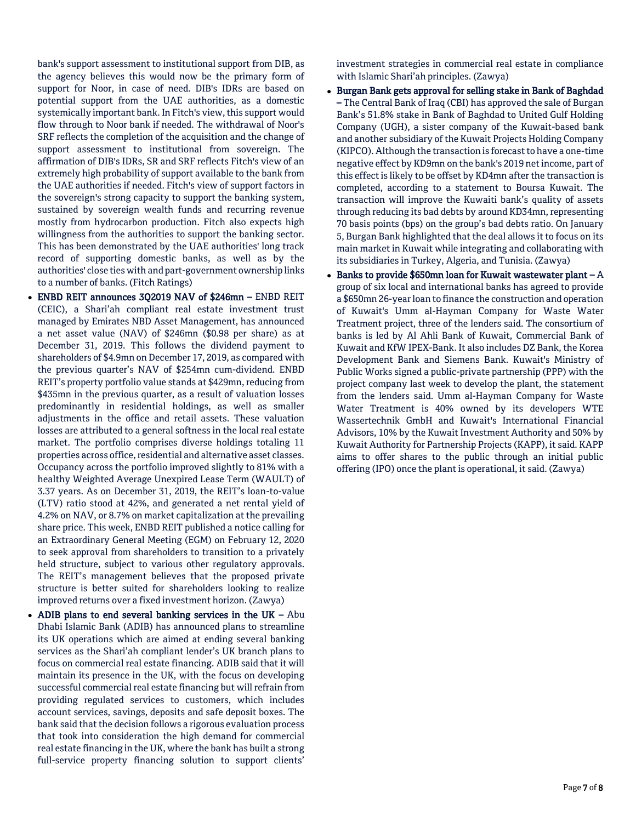bank's support assessment to institutional support from DIB, as the agency believes this would now be the primary form of support for Noor, in case of need. DIB's IDRs are based on potential support from the UAE authorities, as a domestic systemically important bank. In Fitch's view, this support would flow through to Noor bank if needed. The withdrawal of Noor's SRF reflects the completion of the acquisition and the change of support assessment to institutional from sovereign. The affirmation of DIB's IDRs, SR and SRF reflects Fitch's view of an extremely high probability of support available to the bank from the UAE authorities if needed. Fitch's view of support factors in the sovereign's strong capacity to support the banking system, sustained by sovereign wealth funds and recurring revenue mostly from hydrocarbon production. Fitch also expects high willingness from the authorities to support the banking sector. This has been demonstrated by the UAE authorities' long track record of supporting domestic banks, as well as by the authorities' close ties with and part-government ownership links to a number of banks. (Fitch Ratings)

- ENBD REIT announces 3Q2019 NAV of \$246mn ENBD REIT (CEIC), a Shari'ah compliant real estate investment trust managed by Emirates NBD Asset Management, has announced a net asset value (NAV) of \$246mn (\$0.98 per share) as at December 31, 2019. This follows the dividend payment to shareholders of \$4.9mn on December 17, 2019, as compared with the previous quarter's NAV of \$254mn cum-dividend. ENBD REIT's property portfolio value stands at \$429mn, reducing from \$435mn in the previous quarter, as a result of valuation losses predominantly in residential holdings, as well as smaller adjustments in the office and retail assets. These valuation losses are attributed to a general softness in the local real estate market. The portfolio comprises diverse holdings totaling 11 properties across office, residential and alternative asset classes. Occupancy across the portfolio improved slightly to 81% with a healthy Weighted Average Unexpired Lease Term (WAULT) of 3.37 years. As on December 31, 2019, the REIT's loan-to-value (LTV) ratio stood at 42%, and generated a net rental yield of 4.2% on NAV, or 8.7% on market capitalization at the prevailing share price. This week, ENBD REIT published a notice calling for an Extraordinary General Meeting (EGM) on February 12, 2020 to seek approval from shareholders to transition to a privately held structure, subject to various other regulatory approvals. The REIT's management believes that the proposed private structure is better suited for shareholders looking to realize improved returns over a fixed investment horizon. (Zawya)
- ADIB plans to end several banking services in the UK  $Abu$ Dhabi Islamic Bank (ADIB) has announced plans to streamline its UK operations which are aimed at ending several banking services as the Shari'ah compliant lender's UK branch plans to focus on commercial real estate financing. ADIB said that it will maintain its presence in the UK, with the focus on developing successful commercial real estate financing but will refrain from providing regulated services to customers, which includes account services, savings, deposits and safe deposit boxes. The bank said that the decision follows a rigorous evaluation process that took into consideration the high demand for commercial real estate financing in the UK, where the bank has built a strong full-service property financing solution to support clients'

investment strategies in commercial real estate in compliance with Islamic Shari'ah principles. (Zawya)

- Burgan Bank gets approval for selling stake in Bank of Baghdad – The Central Bank of Iraq (CBI) has approved the sale of Burgan Bank's 51.8% stake in Bank of Baghdad to United Gulf Holding Company (UGH), a sister company of the Kuwait-based bank and another subsidiary of the Kuwait Projects Holding Company (KIPCO). Although the transaction is forecast to have a one-time negative effect by KD9mn on the bank's 2019 net income, part of this effect is likely to be offset by KD4mn after the transaction is completed, according to a statement to Boursa Kuwait. The transaction will improve the Kuwaiti bank's quality of assets through reducing its bad debts by around KD34mn, representing 70 basis points (bps) on the group's bad debts ratio. On January 5, Burgan Bank highlighted that the deal allows it to focus on its main market in Kuwait while integrating and collaborating with its subsidiaries in Turkey, Algeria, and Tunisia. (Zawya)
- Banks to provide \$650mn loan for Kuwait wastewater plant  $A$ group of six local and international banks has agreed to provide a \$650mn 26-year loan to finance the construction and operation of Kuwait's Umm al-Hayman Company for Waste Water Treatment project, three of the lenders said. The consortium of banks is led by Al Ahli Bank of Kuwait, Commercial Bank of Kuwait and KfW IPEX-Bank. It also includes DZ Bank, the Korea Development Bank and Siemens Bank. Kuwait's Ministry of Public Works signed a public-private partnership (PPP) with the project company last week to develop the plant, the statement from the lenders said. Umm al-Hayman Company for Waste Water Treatment is 40% owned by its developers WTE Wassertechnik GmbH and Kuwait's International Financial Advisors, 10% by the Kuwait Investment Authority and 50% by Kuwait Authority for Partnership Projects (KAPP), it said. KAPP aims to offer shares to the public through an initial public offering (IPO) once the plant is operational, it said. (Zawya)